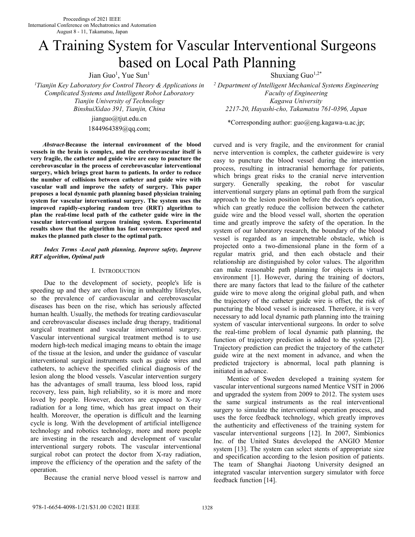# A Training System for Vascular Interventional Surgeons based on Local Path Planning

Jian Guo<sup>1</sup>, Yue Sun<sup>1</sup>

*<sup>1</sup>Tianjin Key Laboratory for Control Theory & Applications in Complicated Systems and Intelligent Robot Laboratory Tianjin University of Technology* 

> jianguo@tjut.edu.cn 1844964389@qq.com;

*Abstract***-Because the internal environment of the blood vessels in the brain is complex, and the cerebrovascular itself is very fragile, the catheter and guide wire are easy to puncture the cerebrovascular in the process of cerebrovascular interventional surgery, which brings great harm to patients. In order to reduce the number of collisions between catheter and guide wire with vascular wall and improve the safety of surgery. This paper proposes a local dynamic path planning based physician training system for vascular interventional surgery. The system uses the improved rapidly-exploring random tree (RRT) algorithm to plan the real-time local path of the catheter guide wire in the vascular interventional surgeon training system. Experimental results show that the algorithm has fast convergence speed and makes the planned path closer to the optimal path.** 

## *Index Terms -Local path planning, Improve safety, Improve RRT algorithm, Optimal path*

# I. INTRODUCTION

Due to the development of society, people's life is speeding up and they are often living in unhealthy lifestyles, so the prevalence of cardiovascular and cerebrovascular diseases has been on the rise, which has seriously affected human health. Usually, the methods for treating cardiovascular and cerebrovascular diseases include drug therapy, traditional surgical treatment and vascular interventional surgery. Vascular interventional surgical treatment method is to use modern high-tech medical imaging means to obtain the image of the tissue at the lesion, and under the guidance of vascular interventional surgical instruments such as guide wires and catheters, to achieve the specified clinical diagnosis of the lesion along the blood vessels. Vascular intervention surgery has the advantages of small trauma, less blood loss, rapid recovery, less pain, high reliability, so it is more and more loved by people. However, doctors are exposed to X-ray radiation for a long time, which has great impact on their health. Moreover, the operation is difficult and the learning cycle is long. With the development of artificial intelligence technology and robotics technology, more and more people are investing in the research and development of vascular interventional surgery robots. The vascular interventional surgical robot can protect the doctor from X-ray radiation, improve the efficiency of the operation and the safety of the operation.

Because the cranial nerve blood vessel is narrow and

Shuxiang Guo $1,2^*$ 

*2 Department of Intelligent Mechanical Systems Engineering Faculty of Engineering Kagawa University BinshuiXidao 391, Tianjin, China 2217-20, Hayashi-cho, Takamatsu 761-0396, Japan* 

\*Corresponding author: guo@eng.kagawa-u.ac.jp;

curved and is very fragile, and the environment for cranial nerve intervention is complex, the catheter guidewire is very easy to puncture the blood vessel during the intervention process, resulting in intracranial hemorrhage for patients, which brings great risks to the cranial nerve intervention surgery. Generally speaking, the robot for vascular interventional surgery plans an optimal path from the surgical approach to the lesion position before the doctor's operation, which can greatly reduce the collision between the catheter guide wire and the blood vessel wall, shorten the operation time and greatly improve the safety of the operation. In the system of our laboratory research, the boundary of the blood vessel is regarded as an impenetrable obstacle, which is projected onto a two-dimensional plane in the form of a regular matrix grid, and then each obstacle and their relationship are distinguished by color values. The algorithm can make reasonable path planning for objects in virtual environment [1]. However, during the training of doctors, there are many factors that lead to the failure of the catheter guide wire to move along the original global path, and when the trajectory of the catheter guide wire is offset, the risk of puncturing the blood vessel is increased. Therefore, it is very necessary to add local dynamic path planning into the training system of vascular interventional surgeons. In order to solve the real-time problem of local dynamic path planning, the function of trajectory prediction is added to the system [2]. Trajectory prediction can predict the trajectory of the catheter guide wire at the next moment in advance, and when the predicted trajectory is abnormal, local path planning is initiated in advance.

Mentice of Sweden developed a training system for vascular interventional surgeons named Mentice VSIT in 2006 and upgraded the system from 2009 to 2012. The system uses the same surgical instruments as the real interventional surgery to simulate the interventional operation process, and uses the force feedback technology, which greatly improves the authenticity and effectiveness of the training system for vascular interventional surgeons [12]. In 2007, Simbionics Inc. of the United States developed the ANGIO Mentor system [13]. The system can select stents of appropriate size and specification according to the lesion position of patients. The team of Shanghai Jiaotong University designed an integrated vascular intervention surgery simulator with force feedback function [14].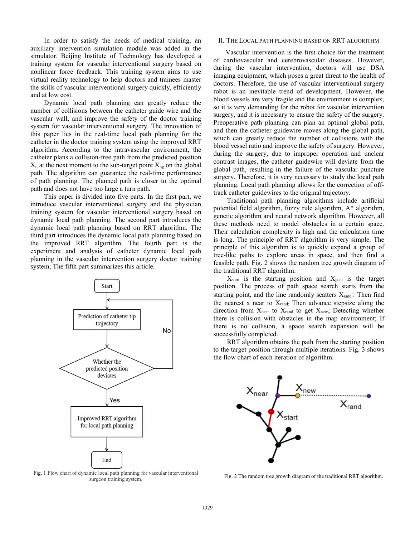In order to satisfy the needs of medical training, an auxiliary intervention simulation module was added in the simulator. Beijing Institute of Technology has developed a training system for vascular interventional surgery based on nonlinear force feedback. This training system aims to use virtual reality technology to help doctors and trainees master the skills of vascular interventional surgery quickly, efficiently and at low cost.

Dynamic local path planning can greatly reduce the number of collisions between the catheter guide wire and the vascular wall, and improve the safety of the doctor training system for vascular interventional surgery. The innovation of this paper lies in the real-time local path planning for the catheter in the doctor training system using the improved RRT algorithm. According to the intravascular environment, the catheter plans a collision-free path from the predicted position  $X_n$  at the next moment to the sub-target point  $X_{ng}$  on the global path. The algorithm can guarantee the real-time performance of path planning. The planned path is closer to the optimal path and does not have too large a turn path.

This paper is divided into five parts. In the first part, we introduce vascular interventional surgery and the physician training system for vascular interventional surgery based on dynamic local path planning. The second part introduces the dynamic local path planning based on RRT algorithm. The third part introduces the dynamic local path planning based on the improved RRT algorithm. The fourth part is the experiment and analysis of catheter dynamic local path planning in the vascular intervention surgery doctor training system; The fifth part summarizes this article.



Fig. 1 Flow chart of dynamic local path planning for vascular interventional surgeon training system.

### II. THE LOCAL PATH PLANNING BASED ON RRT ALGORITHM

 Vascular intervention is the first choice for the treatment of cardiovascular and cerebrovascular diseases. However, during the vascular intervention, doctors will use DSA imaging equipment, which poses a great threat to the health of doctors. Therefore, the use of vascular interventional surgery robot is an inevitable trend of development. However, the blood vessels are very fragile and the environment is complex, so it is very demanding for the robot for vascular intervention surgery, and it is necessary to ensure the safety of the surgery. Preoperative path planning can plan an optimal global path, and then the catheter guidewire moves along the global path, which can greatly reduce the number of collisions with the blood vessel ratio and improve the safety of surgery. However, during the surgery, due to improper operation and unclear contrast images, the catheter guidewire will deviate from the global path, resulting in the failure of the vascular puncture surgery. Therefore, it is very necessary to study the local path planning. Local path planning allows for the correction of offtrack catheter guidewires to the original trajectory.

Traditional path planning algorithms include artificial potential field algorithm, fuzzy rule algorithm, A\* algorithm, genetic algorithm and neural network algorithm. However, all these methods need to model obstacles in a certain space. Their calculation complexity is high and the calculation time is long. The principle of RRT algorithm is very simple. The principle of this algorithm is to quickly expand a group of tree-like paths to explore areas in space, and then find a feasible path. Fig. 2 shows the random tree growth diagram of the traditional RRT algorithm.

 $X_{\text{start}}$  is the starting position and  $X_{\text{goal}}$  is the target position. The process of path space search starts from the starting point, and the line randomly scatters  $X_{rand}$ ; Then find the nearest x near to  $X_{rand}$ ; Then advance stepsize along the direction from  $X_{near}$  to  $X_{rand}$  to get  $X_{new}$ ; Detecting whether there is collision with obstacles in the map environment; If there is no collision, a space search expansion will be successfully completed.

RRT algorithm obtains the path from the starting position to the target position through multiple iterations. Fig. 3 shows the flow chart of each iteration of algorithm.



Fig. 2 The random tree growth diagram of the traditional RRT algorithm.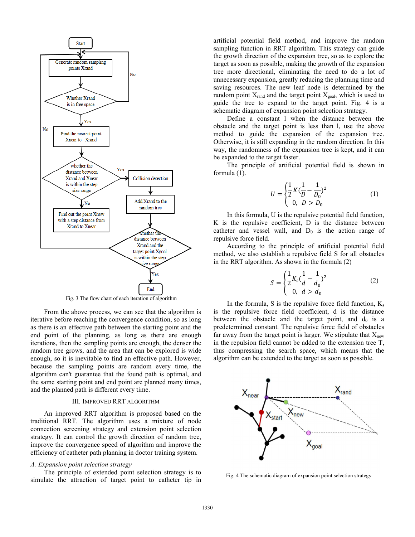

Fig. 3 The flow chart of each iteration of algorithm

From the above process, we can see that the algorithm is iterative before reaching the convergence condition, so as long as there is an effective path between the starting point and the end point of the planning, as long as there are enough iterations, then the sampling points are enough, the denser the random tree grows, and the area that can be explored is wide enough, so it is inevitable to find an effective path. However, because the sampling points are random every time, the algorithm can't guarantee that the found path is optimal, and the same starting point and end point are planned many times, and the planned path is different every time.

### III. IMPROVED RRT ALGORITHM

An improved RRT algorithm is proposed based on the traditional RRT. The algorithm uses a mixture of node connection screening strategy and extension point selection strategy. It can control the growth direction of random tree, improve the convergence speed of algorithm and improve the efficiency of catheter path planning in doctor training system.

#### *A. Expansion point selection strategy*

The principle of extended point selection strategy is to simulate the attraction of target point to catheter tip in artificial potential field method, and improve the random sampling function in RRT algorithm. This strategy can guide the growth direction of the expansion tree, so as to explore the target as soon as possible, making the growth of the expansion tree more directional, eliminating the need to do a lot of unnecessary expansion, greatly reducing the planning time and saving resources. The new leaf node is determined by the random point  $X_{rand}$  and the target point  $X_{goal}$ , which is used to guide the tree to expand to the target point. Fig. 4 is a schematic diagram of expansion point selection strategy.

Define a constant l when the distance between the obstacle and the target point is less than l, use the above method to guide the expansion of the expansion tree. Otherwise, it is still expanding in the random direction. In this way, the randomness of the expansion tree is kept, and it can be expanded to the target faster.

The principle of artificial potential field is shown in formula (1).

$$
U = \begin{cases} \frac{1}{2}K(\frac{1}{D} - \frac{1}{D_0})^2\\ 0, \quad D > D_0 \end{cases}
$$
 (1)

In this formula, U is the repulsive potential field function, K is the repulsive coefficient, D is the distance between catheter and vessel wall, and  $D_0$  is the action range of repulsive force field.

According to the principle of artificial potential field method, we also establish a repulsive field S for all obstacles in the RRT algorithm. As shown in the formula (2)

$$
S = \begin{cases} \frac{1}{2} K_s (\frac{1}{d} - \frac{1}{d_0})^2 \\ 0, \ d > d_0 \end{cases}
$$
 (2)

In the formula, S is the repulsive force field function,  $K_s$ is the repulsive force field coefficient, d is the distance between the obstacle and the target point, and  $d_0$  is a predetermined constant. The repulsive force field of obstacles far away from the target point is larger. We stipulate that  $X<sub>new</sub>$ in the repulsion field cannot be added to the extension tree T, thus compressing the search space, which means that the algorithm can be extended to the target as soon as possible.



Fig. 4 The schematic diagram of expansion point selection strategy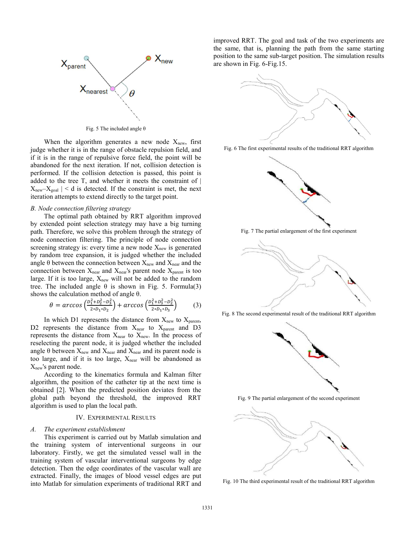

Fig. 5 The included angle  $\theta$ 

When the algorithm generates a new node  $X_{\text{new}}$ , first judge whether it is in the range of obstacle repulsion field, and if it is in the range of repulsive force field, the point will be abandoned for the next iteration. If not, collision detection is performed. If the collision detection is passed, this point is added to the tree T, and whether it meets the constraint of |  $X_{\text{new}}-X_{\text{goal}}$  | < d is detected. If the constraint is met, the next iteration attempts to extend directly to the target point.

#### *B. Node connection filtering strategy*

The optimal path obtained by RRT algorithm improved by extended point selection strategy may have a big turning path. Therefore, we solve this problem through the strategy of node connection filtering. The principle of node connection screening strategy is: every time a new node  $X_{\text{new}}$  is generated by random tree expansion, it is judged whether the included angle  $\theta$  between the connection between  $X_{\text{new}}$  and  $X_{\text{near}}$  and the connection between  $X_{near}$  and  $X_{near}$ 's parent node  $X_{parent}$  is too large. If it is too large,  $X_{\text{new}}$  will not be added to the random tree. The included angle  $\theta$  is shown in Fig. 5. Formula(3) shows the calculation method of angle θ.

$$
\theta = \arccos\left(\frac{D_1^2 + D_2^2 - D_3^2}{2 D_1 D_2}\right) + \arccos\left(\frac{D_1^2 + D_3^2 - D_2^2}{2 D_1 D_2}\right) \tag{3}
$$

In which D1 represents the distance from  $X_{new}$  to  $X_{parent}$ , D2 represents the distance from  $X_{near}$  to  $X_{parent}$  and D3 represents the distance from  $X_{near}$  to  $X_{new}$ . In the process of reselecting the parent node, it is judged whether the included angle  $\theta$  between  $X_{\text{new}}$  and  $X_{\text{near}}$  and  $X_{\text{near}}$  and its parent node is too large, and if it is too large,  $X_{near}$  will be abandoned as  $X<sub>new</sub>'s parent node.$ 

According to the kinematics formula and Kalman filter algorithm, the position of the catheter tip at the next time is obtained [2]. When the predicted position deviates from the global path beyond the threshold, the improved RRT algorithm is used to plan the local path.

### IV. EXPERIMENTAL RESULTS

#### *A. The experiment establishment*

This experiment is carried out by Matlab simulation and the training system of interventional surgeons in our laboratory. Firstly, we get the simulated vessel wall in the training system of vascular interventional surgeons by edge detection. Then the edge coordinates of the vascular wall are extracted. Finally, the images of blood vessel edges are put into Matlab for simulation experiments of traditional RRT and improved RRT. The goal and task of the two experiments are the same, that is, planning the path from the same starting position to the same sub-target position. The simulation results are shown in Fig. 6-Fig.15.



Fig. 6 The first experimental results of the traditional RRT algorithm







Fig. 8 The second experimental result of the traditional RRT algorithm







Fig. 10 The third experimental result of the traditional RRT algorithm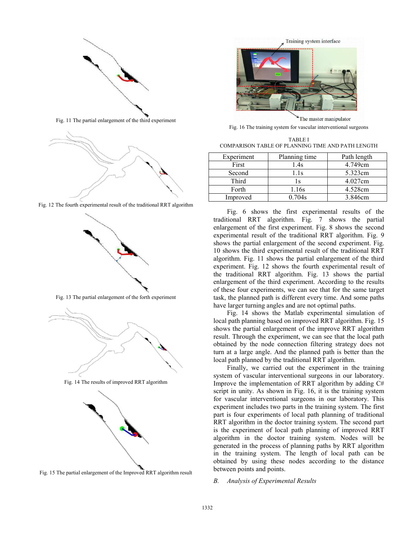

Fig. 11 The partial enlargement of the third experiment



Fig. 12 The fourth experimental result of the traditional RRT algorithm



Fig. 13 The partial enlargement of the forth experiment



Fig. 14 The results of improved RRT algorithm



Fig. 15 The partial enlargement of the Improved RRT algorithm result



Fig. 16 The training system for vascular interventional surgeons

TABLE Ⅰ COMPARISON TABLE OF PLANNING TIME AND PATH LENGTH

| Experiment | Planning time | Path length |
|------------|---------------|-------------|
| First      | 1.4s          | 4.749cm     |
| Second     | 1.1s          | 5.323cm     |
| Third      | Ιs            | 4.027cm     |
| Forth      | 1.16s         | 4.528cm     |
| Improved   | 0.704s        | 3.846cm     |

Fig. 6 shows the first experimental results of the traditional RRT algorithm. Fig. 7 shows the partial enlargement of the first experiment. Fig. 8 shows the second experimental result of the traditional RRT algorithm. Fig. 9 shows the partial enlargement of the second experiment. Fig. 10 shows the third experimental result of the traditional RRT algorithm. Fig. 11 shows the partial enlargement of the third experiment. Fig. 12 shows the fourth experimental result of the traditional RRT algorithm. Fig. 13 shows the partial enlargement of the third experiment. According to the results of these four experiments, we can see that for the same target task, the planned path is different every time. And some paths have larger turning angles and are not optimal paths.

Fig. 14 shows the Matlab experimental simulation of local path planning based on improved RRT algorithm. Fig. 15 shows the partial enlargement of the improve RRT algorithm result. Through the experiment, we can see that the local path obtained by the node connection filtering strategy does not turn at a large angle. And the planned path is better than the local path planned by the traditional RRT algorithm.

Finally, we carried out the experiment in the training system of vascular interventional surgeons in our laboratory. Improve the implementation of RRT algorithm by adding C# script in unity. As shown in Fig. 16, it is the training system for vascular interventional surgeons in our laboratory. This experiment includes two parts in the training system. The first part is four experiments of local path planning of traditional RRT algorithm in the doctor training system. The second part is the experiment of local path planning of improved RRT algorithm in the doctor training system. Nodes will be generated in the process of planning paths by RRT algorithm in the training system. The length of local path can be obtained by using these nodes according to the distance between points and points.

# *B. Analysis of Experimental Results*